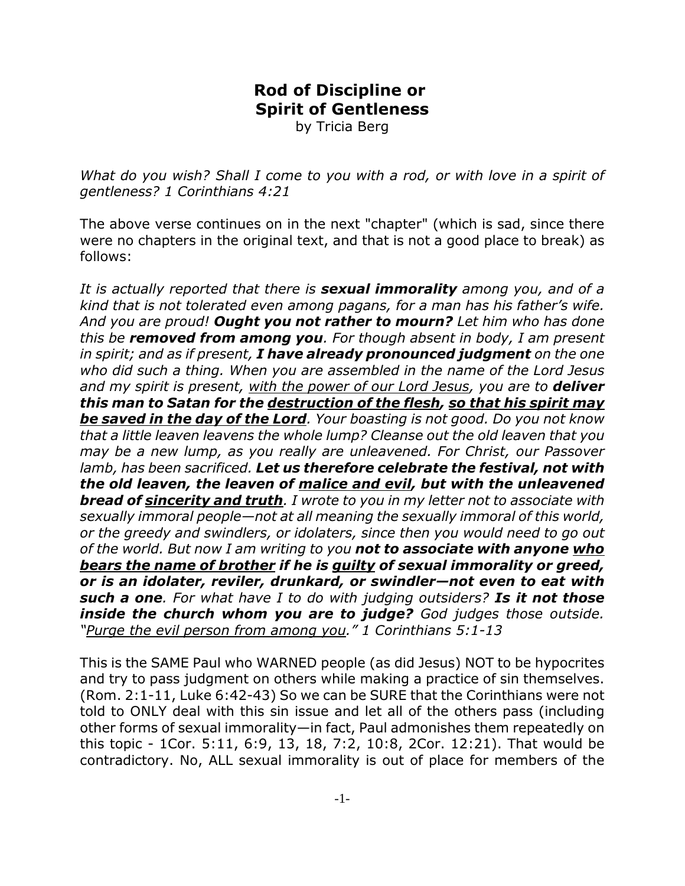## **Rod of Discipline or Spirit of Gentleness**

by Tricia Berg

*What do you wish? Shall I come to you with a rod, or with love in a spirit of gentleness? 1 Corinthians 4:21*

The above verse continues on in the next "chapter" (which is sad, since there were no chapters in the original text, and that is not a good place to break) as follows:

*It is actually reported that there is sexual immorality among you, and of a kind that is not tolerated even among pagans, for a man has his father's wife. And you are proud! Ought you not rather to mourn? Let him who has done this be removed from among you. For though absent in body, I am present in spirit; and as if present, I have already pronounced judgment on the one who did such a thing. When you are assembled in the name of the Lord Jesus* and my spirit is present, with the power of our Lord Jesus, you are to **deliver** *this man to Satan for the destruction of the flesh, so that his spirit may be saved in the day of the Lord. Your boasting is not good. Do you not know that a little leaven leavens the whole lump? Cleanse out the old leaven that you may be a new lump, as you really are unleavened. For Christ, our Passover lamb, has been sacrificed. Let us therefore celebrate the festival, not with the old leaven, the leaven of malice and evil, but with the unleavened bread of sincerity and truth. I wrote to you in my letter not to associate with sexually immoral people—not at all meaning the sexually immoral of this world, or the greedy and swindlers, or idolaters, since then you would need to go out of the world. But now I am writing to you not to associate with anyone who bears the name of brother if he is guilty of sexual immorality or greed, or is an idolater, reviler, drunkard, or swindler—not even to eat with such a one. For what have I to do with judging outsiders? Is it not those inside the church whom you are to judge? God judges those outside. "Purge the evil person from among you." 1 Corinthians 5:1-13*

This is the SAME Paul who WARNED people (as did Jesus) NOT to be hypocrites and try to pass judgment on others while making a practice of sin themselves. (Rom. 2:1-11, Luke 6:42-43) So we can be SURE that the Corinthians were not told to ONLY deal with this sin issue and let all of the others pass (including other forms of sexual immorality—in fact, Paul admonishes them repeatedly on this topic - 1Cor. 5:11, 6:9, 13, 18, 7:2, 10:8, 2Cor. 12:21). That would be contradictory. No, ALL sexual immorality is out of place for members of the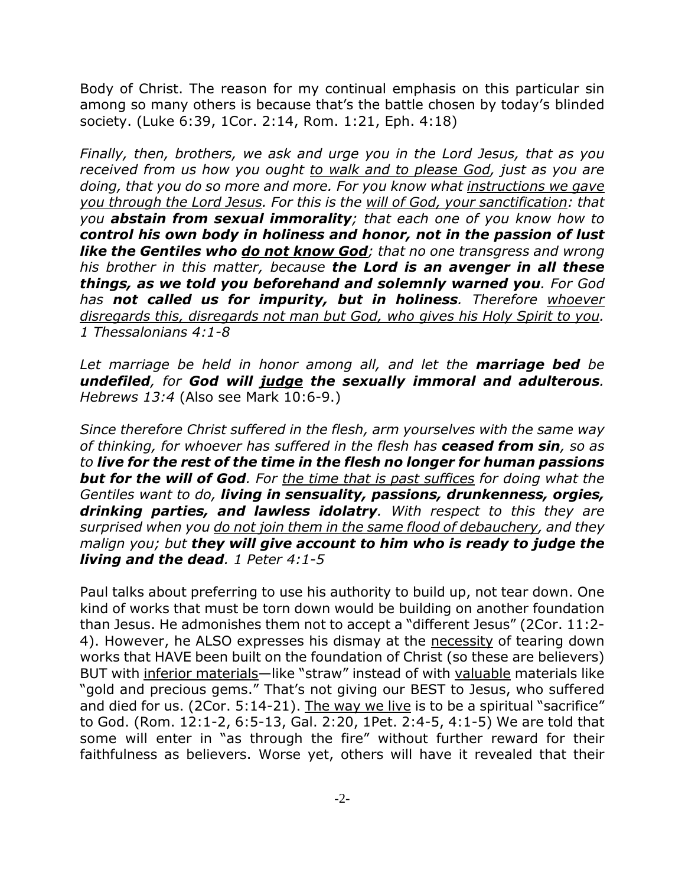Body of Christ. The reason for my continual emphasis on this particular sin among so many others is because that's the battle chosen by today's blinded society. (Luke 6:39, 1Cor. 2:14, Rom. 1:21, Eph. 4:18)

*Finally, then, brothers, we ask and urge you in the Lord Jesus, that as you received from us how you ought to walk and to please God, just as you are doing, that you do so more and more. For you know what instructions we gave you through the Lord Jesus. For this is the will of God, your sanctification: that you abstain from sexual immorality; that each one of you know how to control his own body in holiness and honor, not in the passion of lust like the Gentiles who do not know God; that no one transgress and wrong his brother in this matter, because the Lord is an avenger in all these things, as we told you beforehand and solemnly warned you. For God has not called us for impurity, but in holiness. Therefore whoever disregards this, disregards not man but God, who gives his Holy Spirit to you. 1 Thessalonians 4:1-8*

*Let marriage be held in honor among all, and let the marriage bed be undefiled, for God will judge the sexually immoral and adulterous. Hebrews 13:4* (Also see Mark 10:6-9.)

*Since therefore Christ suffered in the flesh, arm yourselves with the same way of thinking, for whoever has suffered in the flesh has ceased from sin, so as to live for the rest of the time in the flesh no longer for human passions but for the will of God. For the time that is past suffices for doing what the Gentiles want to do, living in sensuality, passions, drunkenness, orgies, drinking parties, and lawless idolatry. With respect to this they are surprised when you do not join them in the same flood of debauchery, and they malign you; but they will give account to him who is ready to judge the living and the dead. 1 Peter 4:1-5*

Paul talks about preferring to use his authority to build up, not tear down. One kind of works that must be torn down would be building on another foundation than Jesus. He admonishes them not to accept a "different Jesus" (2Cor. 11:2- 4). However, he ALSO expresses his dismay at the necessity of tearing down works that HAVE been built on the foundation of Christ (so these are believers) BUT with inferior materials—like "straw" instead of with valuable materials like "gold and precious gems." That's not giving our BEST to Jesus, who suffered and died for us. (2Cor. 5:14-21). The way we live is to be a spiritual "sacrifice" to God. (Rom. 12:1-2, 6:5-13, Gal. 2:20, 1Pet. 2:4-5, 4:1-5) We are told that some will enter in "as through the fire" without further reward for their faithfulness as believers. Worse yet, others will have it revealed that their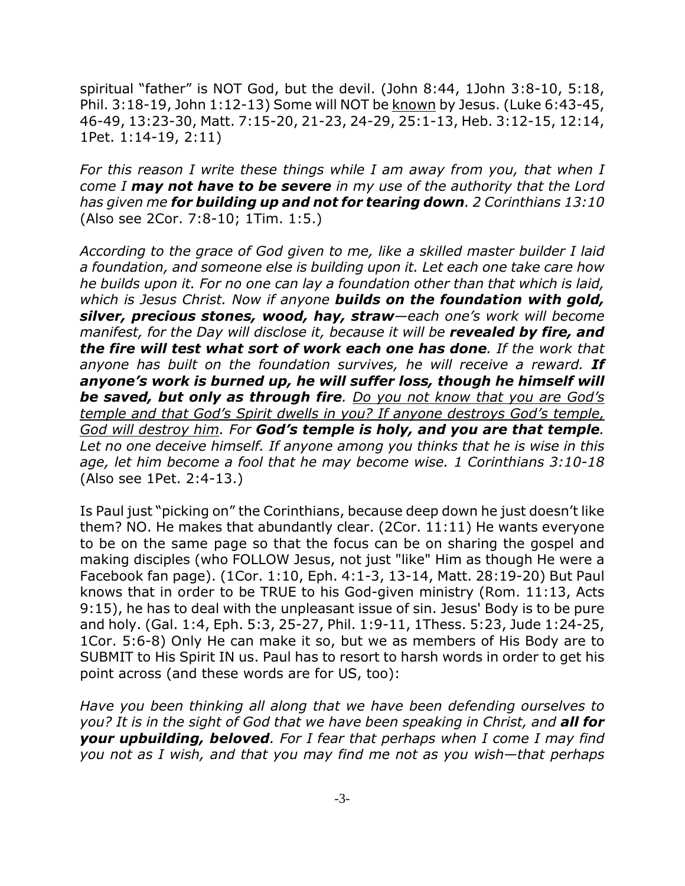spiritual "father" is NOT God, but the devil. (John 8:44, 1John 3:8-10, 5:18, Phil. 3:18-19, John 1:12-13) Some will NOT be known by Jesus. (Luke 6:43-45, 46-49, 13:23-30, Matt. 7:15-20, 21-23, 24-29, 25:1-13, Heb. 3:12-15, 12:14, 1Pet. 1:14-19, 2:11)

*For this reason I write these things while I am away from you, that when I come I may not have to be severe in my use of the authority that the Lord has given me for building up and not for tearing down. 2 Corinthians 13:10* (Also see 2Cor. 7:8-10; 1Tim. 1:5.)

*According to the grace of God given to me, like a skilled master builder I laid a foundation, and someone else is building upon it. Let each one take care how he builds upon it. For no one can lay a foundation other than that which is laid, which is Jesus Christ. Now if anyone builds on the foundation with gold, silver, precious stones, wood, hay, straw—each one's work will become* manifest, for the Day will disclose it, because it will be **revealed by fire, and** *the fire will test what sort of work each one has done. If the work that* anyone has built on the foundation survives, he will receive a reward. **If** *anyone's work is burned up, he will suffer loss, though he himself will be saved, but only as through fire. Do you not know that you are God's temple and that God's Spirit dwells in you? If anyone destroys God's temple, God will destroy him. For God's temple is holy, and you are that temple. Let no one deceive himself. If anyone among you thinks that he is wise in this age, let him become a fool that he may become wise. 1 Corinthians 3:10-18* (Also see 1Pet. 2:4-13.)

Is Paul just "picking on" the Corinthians, because deep down he just doesn't like them? NO. He makes that abundantly clear. (2Cor. 11:11) He wants everyone to be on the same page so that the focus can be on sharing the gospel and making disciples (who FOLLOW Jesus, not just "like" Him as though He were a Facebook fan page). (1Cor. 1:10, Eph. 4:1-3, 13-14, Matt. 28:19-20) But Paul knows that in order to be TRUE to his God-given ministry (Rom. 11:13, Acts 9:15), he has to deal with the unpleasant issue of sin. Jesus' Body is to be pure and holy. (Gal. 1:4, Eph. 5:3, 25-27, Phil. 1:9-11, 1Thess. 5:23, Jude 1:24-25, 1Cor. 5:6-8) Only He can make it so, but we as members of His Body are to SUBMIT to His Spirit IN us. Paul has to resort to harsh words in order to get his point across (and these words are for US, too):

*Have you been thinking all along that we have been defending ourselves to you? It is in the sight of God that we have been speaking in Christ, and all for your upbuilding, beloved. For I fear that perhaps when I come I may find you not as I wish, and that you may find me not as you wish—that perhaps*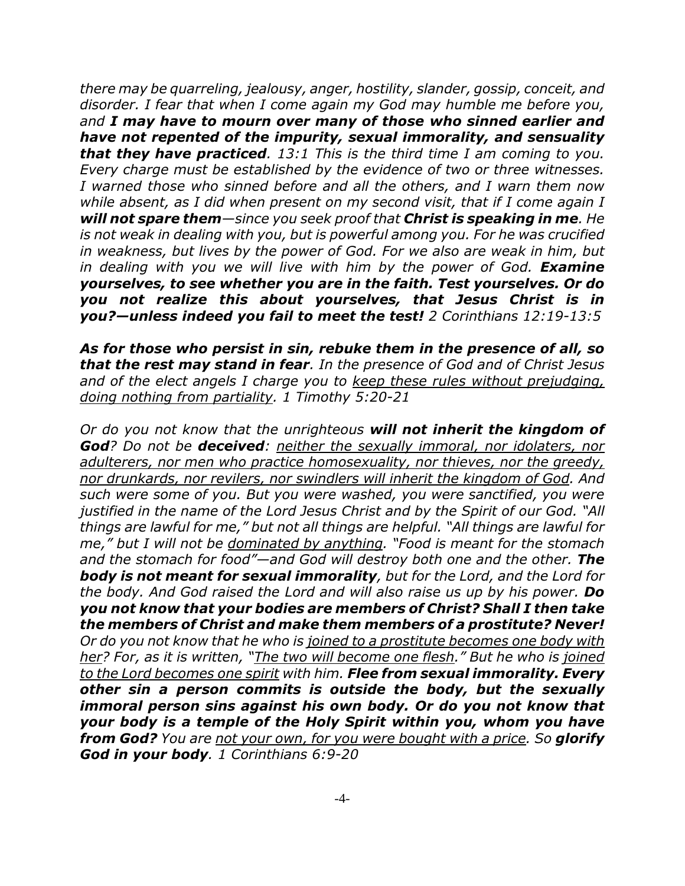*there may be quarreling, jealousy, anger, hostility, slander, gossip, conceit, and disorder. I fear that when I come again my God may humble me before you, and I may have to mourn over many of those who sinned earlier and have not repented of the impurity, sexual immorality, and sensuality that they have practiced. 13:1 This is the third time I am coming to you. Every charge must be established by the evidence of two or three witnesses. I warned those who sinned before and all the others, and I warn them now while absent, as I did when present on my second visit, that if I come again I will not spare them—since you seek proof that Christ is speaking in me. He is not weak in dealing with you, but is powerful among you. For he was crucified in weakness, but lives by the power of God. For we also are weak in him, but in dealing with you we will live with him by the power of God. Examine yourselves, to see whether you are in the faith. Test yourselves. Or do you not realize this about yourselves, that Jesus Christ is in you?—unless indeed you fail to meet the test! 2 Corinthians 12:19-13:5*

*As for those who persist in sin, rebuke them in the presence of all, so that the rest may stand in fear. In the presence of God and of Christ Jesus and of the elect angels I charge you to keep these rules without prejudging, doing nothing from partiality. 1 Timothy 5:20-21*

*Or do you not know that the unrighteous will not inherit the kingdom of God? Do not be deceived: neither the sexually immoral, nor idolaters, nor adulterers, nor men who practice homosexuality, nor thieves, nor the greedy, nor drunkards, nor revilers, nor swindlers will inherit the kingdom of God. And such were some of you. But you were washed, you were sanctified, you were justified in the name of the Lord Jesus Christ and by the Spirit of our God. "All things are lawful for me," but not all things are helpful. "All things are lawful for me," but I will not be dominated by anything. "Food is meant for the stomach and the stomach for food"—and God will destroy both one and the other. The body is not meant for sexual immorality, but for the Lord, and the Lord for the body. And God raised the Lord and will also raise us up by his power. Do you not know that your bodies are members of Christ? Shall I then take the members of Christ and make them members of a prostitute? Never! Or do you not know that he who is joined to a prostitute becomes one body with her? For, as it is written, "The two will become one flesh." But he who is joined to the Lord becomes one spirit with him. Flee from sexual immorality. Every other sin a person commits is outside the body, but the sexually immoral person sins against his own body. Or do you not know that your body is a temple of the Holy Spirit within you, whom you have from God? You are not your own, for you were bought with a price. So glorify God in your body. 1 Corinthians 6:9-20*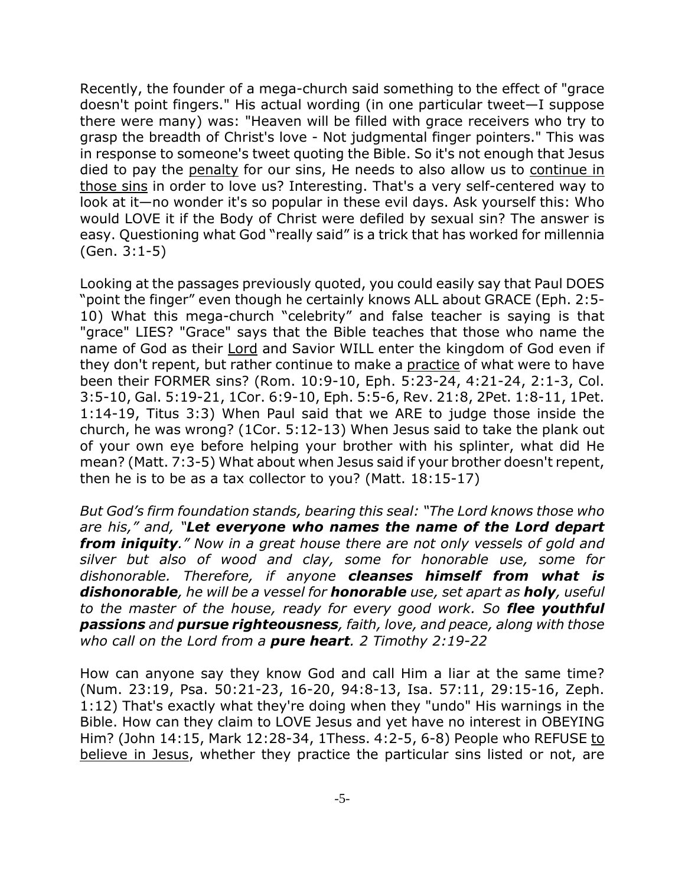Recently, the founder of a mega-church said something to the effect of "grace doesn't point fingers." His actual wording (in one particular tweet—I suppose there were many) was: "Heaven will be filled with grace receivers who try to grasp the breadth of Christ's love - Not judgmental finger pointers." This was in response to someone's tweet quoting the Bible. So it's not enough that Jesus died to pay the penalty for our sins, He needs to also allow us to continue in those sins in order to love us? Interesting. That's a very self-centered way to look at it—no wonder it's so popular in these evil days. Ask yourself this: Who would LOVE it if the Body of Christ were defiled by sexual sin? The answer is easy. Questioning what God "really said" is a trick that has worked for millennia (Gen. 3:1-5)

Looking at the passages previously quoted, you could easily say that Paul DOES "point the finger" even though he certainly knows ALL about GRACE (Eph. 2:5- 10) What this mega-church "celebrity" and false teacher is saying is that "grace" LIES? "Grace" says that the Bible teaches that those who name the name of God as their Lord and Savior WILL enter the kingdom of God even if they don't repent, but rather continue to make a practice of what were to have been their FORMER sins? (Rom. 10:9-10, Eph. 5:23-24, 4:21-24, 2:1-3, Col. 3:5-10, Gal. 5:19-21, 1Cor. 6:9-10, Eph. 5:5-6, Rev. 21:8, 2Pet. 1:8-11, 1Pet. 1:14-19, Titus 3:3) When Paul said that we ARE to judge those inside the church, he was wrong? (1Cor. 5:12-13) When Jesus said to take the plank out of your own eye before helping your brother with his splinter, what did He mean? (Matt. 7:3-5) What about when Jesus said if your brother doesn't repent, then he is to be as a tax collector to you? (Matt. 18:15-17)

*But God's firm foundation stands, bearing this seal: "The Lord knows those who are his," and, "Let everyone who names the name of the Lord depart from iniquity." Now in a great house there are not only vessels of gold and silver but also of wood and clay, some for honorable use, some for dishonorable. Therefore, if anyone cleanses himself from what is dishonorable, he will be a vessel for honorable use, set apart as holy, useful to the master of the house, ready for every good work. So flee youthful passions and pursue righteousness, faith, love, and peace, along with those who call on the Lord from a pure heart. 2 Timothy 2:19-22*

How can anyone say they know God and call Him a liar at the same time? (Num. 23:19, Psa. 50:21-23, 16-20, 94:8-13, Isa. 57:11, 29:15-16, Zeph. 1:12) That's exactly what they're doing when they "undo" His warnings in the Bible. How can they claim to LOVE Jesus and yet have no interest in OBEYING Him? (John 14:15, Mark 12:28-34, 1Thess. 4:2-5, 6-8) People who REFUSE to believe in Jesus, whether they practice the particular sins listed or not, are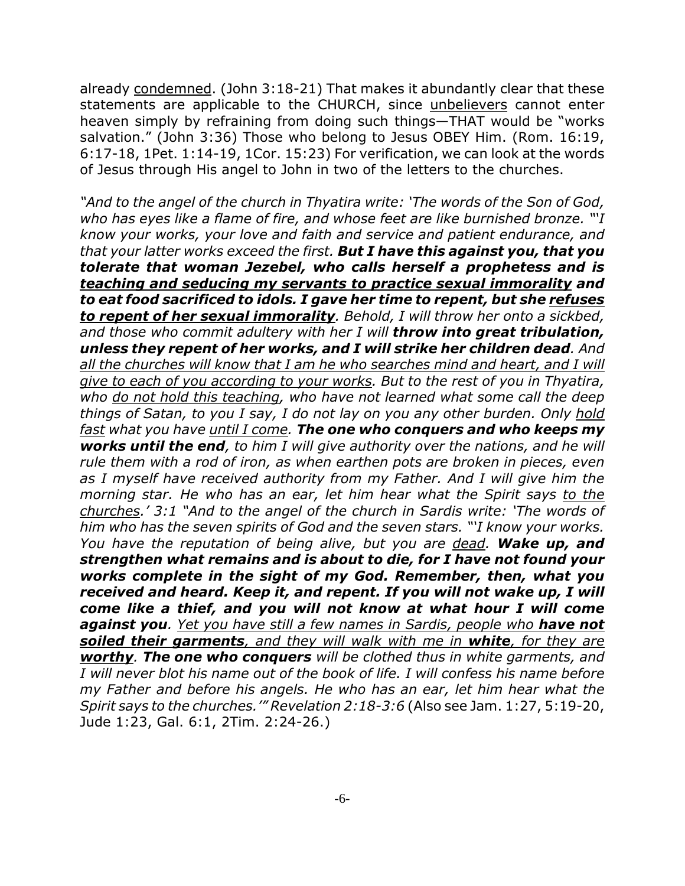already condemned. (John 3:18-21) That makes it abundantly clear that these statements are applicable to the CHURCH, since unbelievers cannot enter heaven simply by refraining from doing such things—THAT would be "works salvation." (John 3:36) Those who belong to Jesus OBEY Him. (Rom. 16:19, 6:17-18, 1Pet. 1:14-19, 1Cor. 15:23) For verification, we can look at the words of Jesus through His angel to John in two of the letters to the churches.

*"And to the angel of the church in Thyatira write: 'The words of the Son of God, who has eyes like a flame of fire, and whose feet are like burnished bronze. "'I know your works, your love and faith and service and patient endurance, and that your latter works exceed the first. But I have this against you, that you tolerate that woman Jezebel, who calls herself a prophetess and is teaching and seducing my servants to practice sexual immorality and to eat food sacrificed to idols. I gave her time to repent, but she refuses to repent of her sexual immorality. Behold, I will throw her onto a sickbed, and those who commit adultery with her I will throw into great tribulation, unless they repent of her works, and I will strike her children dead. And all the churches will know that I am he who searches mind and heart, and I will give to each of you according to your works. But to the rest of you in Thyatira, who do not hold this teaching, who have not learned what some call the deep things of Satan, to you I say, I do not lay on you any other burden. Only hold fast what you have until I come. The one who conquers and who keeps my works until the end, to him I will give authority over the nations, and he will rule them with a rod of iron, as when earthen pots are broken in pieces, even as I myself have received authority from my Father. And I will give him the morning star. He who has an ear, let him hear what the Spirit says to the churches.' 3:1 "And to the angel of the church in Sardis write: 'The words of him who has the seven spirits of God and the seven stars. "'I know your works. You have the reputation of being alive, but you are dead. Wake up, and strengthen what remains and is about to die, for I have not found your works complete in the sight of my God. Remember, then, what you received and heard. Keep it, and repent. If you will not wake up, I will come like a thief, and you will not know at what hour I will come against you. Yet you have still a few names in Sardis, people who have not soiled their garments, and they will walk with me in white, for they are worthy. The one who conquers will be clothed thus in white garments, and I will never blot his name out of the book of life. I will confess his name before my Father and before his angels. He who has an ear, let him hear what the Spirit says to the churches.'" Revelation 2:18-3:6* (Also see Jam. 1:27, 5:19-20, Jude 1:23, Gal. 6:1, 2Tim. 2:24-26.)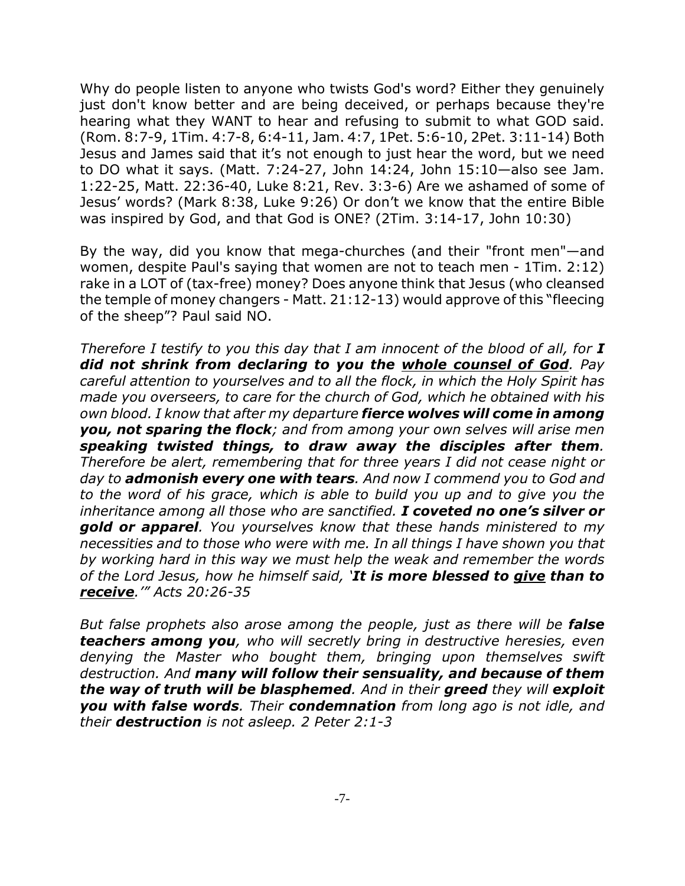Why do people listen to anyone who twists God's word? Either they genuinely just don't know better and are being deceived, or perhaps because they're hearing what they WANT to hear and refusing to submit to what GOD said. (Rom. 8:7-9, 1Tim. 4:7-8, 6:4-11, Jam. 4:7, 1Pet. 5:6-10, 2Pet. 3:11-14) Both Jesus and James said that it's not enough to just hear the word, but we need to DO what it says. (Matt. 7:24-27, John 14:24, John 15:10—also see Jam. 1:22-25, Matt. 22:36-40, Luke 8:21, Rev. 3:3-6) Are we ashamed of some of Jesus' words? (Mark 8:38, Luke 9:26) Or don't we know that the entire Bible was inspired by God, and that God is ONE? (2Tim. 3:14-17, John 10:30)

By the way, did you know that mega-churches (and their "front men"—and women, despite Paul's saying that women are not to teach men - 1Tim. 2:12) rake in a LOT of (tax-free) money? Does anyone think that Jesus (who cleansed the temple of money changers - Matt. 21:12-13) would approve of this "fleecing of the sheep"? Paul said NO.

*Therefore I testify to you this day that I am innocent of the blood of all, for I did not shrink from declaring to you the whole counsel of God. Pay careful attention to yourselves and to all the flock, in which the Holy Spirit has made you overseers, to care for the church of God, which he obtained with his own blood. I know that after my departure fierce wolves will come in among you, not sparing the flock; and from among your own selves will arise men speaking twisted things, to draw away the disciples after them. Therefore be alert, remembering that for three years I did not cease night or day to admonish every one with tears. And now I commend you to God and to the word of his grace, which is able to build you up and to give you the inheritance among all those who are sanctified. I coveted no one's silver or gold or apparel. You yourselves know that these hands ministered to my necessities and to those who were with me. In all things I have shown you that by working hard in this way we must help the weak and remember the words of the Lord Jesus, how he himself said, 'It is more blessed to give than to receive.'" Acts 20:26-35*

*But false prophets also arose among the people, just as there will be false teachers among you, who will secretly bring in destructive heresies, even denying the Master who bought them, bringing upon themselves swift destruction. And many will follow their sensuality, and because of them the way of truth will be blasphemed. And in their greed they will exploit you with false words. Their condemnation from long ago is not idle, and their destruction is not asleep. 2 Peter 2:1-3*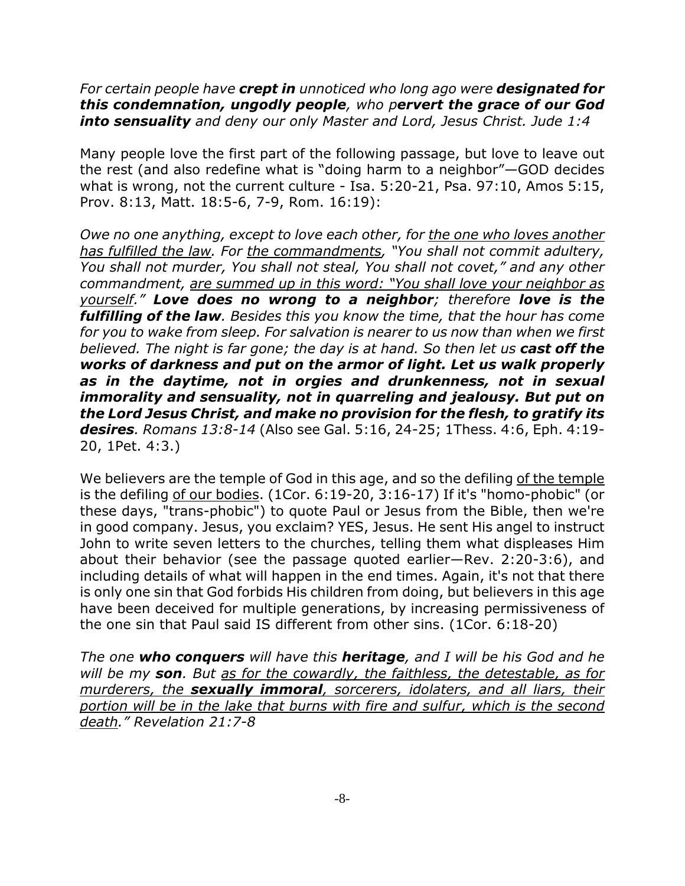*For certain people have crept in unnoticed who long ago were designated for this condemnation, ungodly people, who pervert the grace of our God into sensuality and deny our only Master and Lord, Jesus Christ. Jude 1:4*

Many people love the first part of the following passage, but love to leave out the rest (and also redefine what is "doing harm to a neighbor"—GOD decides what is wrong, not the current culture - Isa. 5:20-21, Psa. 97:10, Amos 5:15, Prov. 8:13, Matt. 18:5-6, 7-9, Rom. 16:19):

*Owe no one anything, except to love each other, for the one who loves another has fulfilled the law. For the commandments, "You shall not commit adultery, You shall not murder, You shall not steal, You shall not covet," and any other commandment, are summed up in this word: "You shall love your neighbor as yourself." Love does no wrong to a neighbor; therefore love is the fulfilling of the law. Besides this you know the time, that the hour has come for you to wake from sleep. For salvation is nearer to us now than when we first believed. The night is far gone; the day is at hand. So then let us cast off the works of darkness and put on the armor of light. Let us walk properly as in the daytime, not in orgies and drunkenness, not in sexual immorality and sensuality, not in quarreling and jealousy. But put on the Lord Jesus Christ, and make no provision for the flesh, to gratify its desires. Romans 13:8-14* (Also see Gal. 5:16, 24-25; 1Thess. 4:6, Eph. 4:19- 20, 1Pet. 4:3.)

We believers are the temple of God in this age, and so the defiling of the temple is the defiling of our bodies. (1Cor. 6:19-20, 3:16-17) If it's "homo-phobic" (or these days, "trans-phobic") to quote Paul or Jesus from the Bible, then we're in good company. Jesus, you exclaim? YES, Jesus. He sent His angel to instruct John to write seven letters to the churches, telling them what displeases Him about their behavior (see the passage quoted earlier—Rev. 2:20-3:6), and including details of what will happen in the end times. Again, it's not that there is only one sin that God forbids His children from doing, but believers in this age have been deceived for multiple generations, by increasing permissiveness of the one sin that Paul said IS different from other sins. (1Cor. 6:18-20)

*The one who conquers will have this heritage, and I will be his God and he will be my son. But as for the cowardly, the faithless, the detestable, as for murderers, the sexually immoral, sorcerers, idolaters, and all liars, their portion will be in the lake that burns with fire and sulfur, which is the second death." Revelation 21:7-8*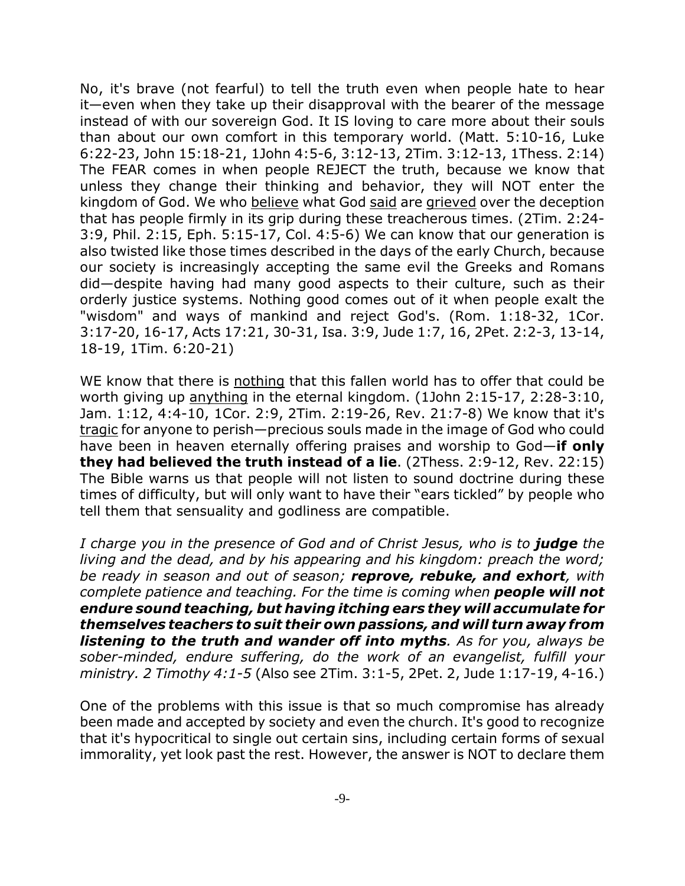No, it's brave (not fearful) to tell the truth even when people hate to hear it—even when they take up their disapproval with the bearer of the message instead of with our sovereign God. It IS loving to care more about their souls than about our own comfort in this temporary world. (Matt. 5:10-16, Luke 6:22-23, John 15:18-21, 1John 4:5-6, 3:12-13, 2Tim. 3:12-13, 1Thess. 2:14) The FEAR comes in when people REJECT the truth, because we know that unless they change their thinking and behavior, they will NOT enter the kingdom of God. We who believe what God said are grieved over the deception that has people firmly in its grip during these treacherous times. (2Tim. 2:24- 3:9, Phil. 2:15, Eph. 5:15-17, Col. 4:5-6) We can know that our generation is also twisted like those times described in the days of the early Church, because our society is increasingly accepting the same evil the Greeks and Romans did—despite having had many good aspects to their culture, such as their orderly justice systems. Nothing good comes out of it when people exalt the "wisdom" and ways of mankind and reject God's. (Rom. 1:18-32, 1Cor. 3:17-20, 16-17, Acts 17:21, 30-31, Isa. 3:9, Jude 1:7, 16, 2Pet. 2:2-3, 13-14, 18-19, 1Tim. 6:20-21)

WE know that there is nothing that this fallen world has to offer that could be worth giving up anything in the eternal kingdom. (1John 2:15-17, 2:28-3:10, Jam. 1:12, 4:4-10, 1Cor. 2:9, 2Tim. 2:19-26, Rev. 21:7-8) We know that it's tragic for anyone to perish—precious souls made in the image of God who could have been in heaven eternally offering praises and worship to God—**if only they had believed the truth instead of a lie**. (2Thess. 2:9-12, Rev. 22:15) The Bible warns us that people will not listen to sound doctrine during these times of difficulty, but will only want to have their "ears tickled" by people who tell them that sensuality and godliness are compatible.

*I charge you in the presence of God and of Christ Jesus, who is to <i>judge* the *living and the dead, and by his appearing and his kingdom: preach the word; be ready in season and out of season; reprove, rebuke, and exhort, with complete patience and teaching. For the time is coming when people will not endure sound teaching, but having itching ears they will accumulate for themselves teachers to suit their own passions, and will turn away from listening to the truth and wander off into myths. As for you, always be sober-minded, endure suffering, do the work of an evangelist, fulfill your ministry. 2 Timothy 4:1-5* (Also see 2Tim. 3:1-5, 2Pet. 2, Jude 1:17-19, 4-16.)

One of the problems with this issue is that so much compromise has already been made and accepted by society and even the church. It's good to recognize that it's hypocritical to single out certain sins, including certain forms of sexual immorality, yet look past the rest. However, the answer is NOT to declare them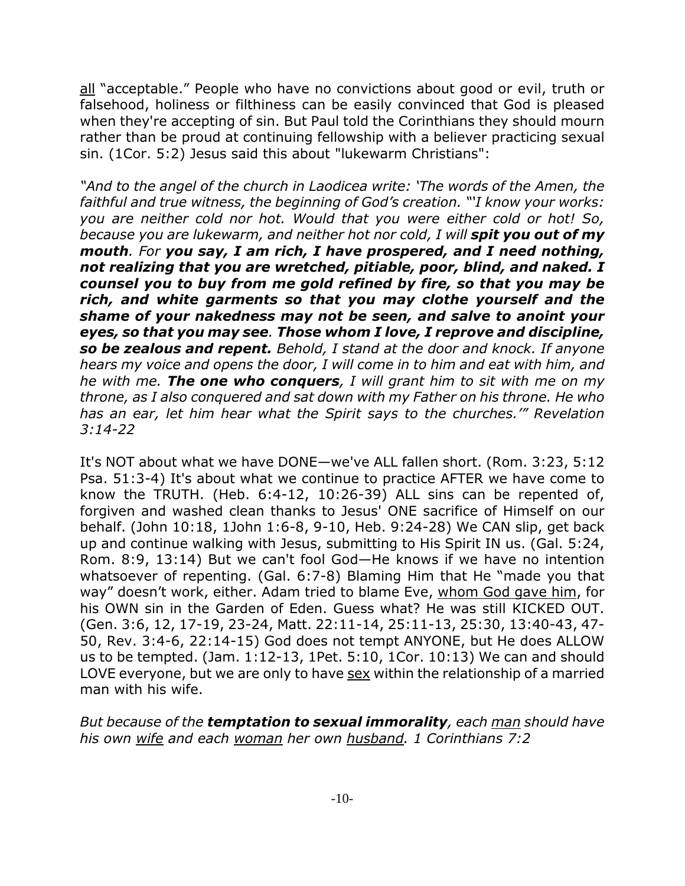all "acceptable." People who have no convictions about good or evil, truth or falsehood, holiness or filthiness can be easily convinced that God is pleased when they're accepting of sin. But Paul told the Corinthians they should mourn rather than be proud at continuing fellowship with a believer practicing sexual sin. (1Cor. 5:2) Jesus said this about "lukewarm Christians":

*"And to the angel of the church in Laodicea write: 'The words of the Amen, the faithful and true witness, the beginning of God's creation. "'I know your works: you are neither cold nor hot. Would that you were either cold or hot! So, because you are lukewarm, and neither hot nor cold, I will spit you out of my mouth. For you say, I am rich, I have prospered, and I need nothing, not realizing that you are wretched, pitiable, poor, blind, and naked. I counsel you to buy from me gold refined by fire, so that you may be rich, and white garments so that you may clothe yourself and the shame of your nakedness may not be seen, and salve to anoint your eyes, so that you may see. Those whom I love, I reprove and discipline, so be zealous and repent. Behold, I stand at the door and knock. If anyone hears my voice and opens the door, I will come in to him and eat with him, and he with me. The one who conquers, I will grant him to sit with me on my throne, as I also conquered and sat down with my Father on his throne. He who has an ear, let him hear what the Spirit says to the churches.'" Revelation 3:14-22*

It's NOT about what we have DONE—we've ALL fallen short. (Rom. 3:23, 5:12 Psa. 51:3-4) It's about what we continue to practice AFTER we have come to know the TRUTH. (Heb. 6:4-12, 10:26-39) ALL sins can be repented of, forgiven and washed clean thanks to Jesus' ONE sacrifice of Himself on our behalf. (John 10:18, 1John 1:6-8, 9-10, Heb. 9:24-28) We CAN slip, get back up and continue walking with Jesus, submitting to His Spirit IN us. (Gal. 5:24, Rom. 8:9, 13:14) But we can't fool God—He knows if we have no intention whatsoever of repenting. (Gal. 6:7-8) Blaming Him that He "made you that way" doesn't work, either. Adam tried to blame Eve, whom God gave him, for his OWN sin in the Garden of Eden. Guess what? He was still KICKED OUT. (Gen. 3:6, 12, 17-19, 23-24, Matt. 22:11-14, 25:11-13, 25:30, 13:40-43, 47- 50, Rev. 3:4-6, 22:14-15) God does not tempt ANYONE, but He does ALLOW us to be tempted. (Jam. 1:12-13, 1Pet. 5:10, 1Cor. 10:13) We can and should LOVE everyone, but we are only to have sex within the relationship of a married man with his wife.

*But because of the temptation to sexual immorality, each man should have his own wife and each woman her own husband. 1 Corinthians 7:2*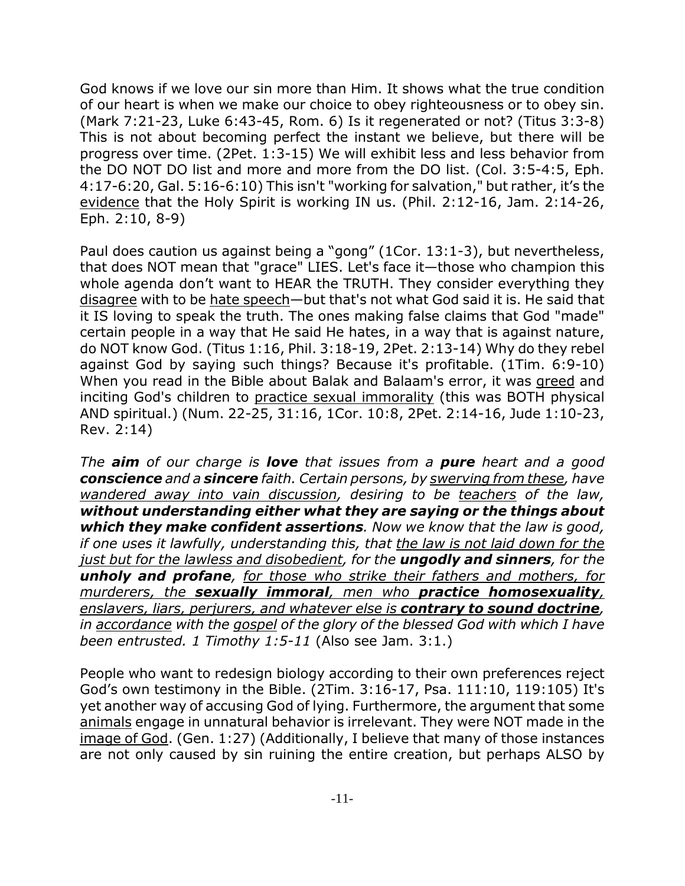God knows if we love our sin more than Him. It shows what the true condition of our heart is when we make our choice to obey righteousness or to obey sin. (Mark 7:21-23, Luke 6:43-45, Rom. 6) Is it regenerated or not? (Titus 3:3-8) This is not about becoming perfect the instant we believe, but there will be progress over time. (2Pet. 1:3-15) We will exhibit less and less behavior from the DO NOT DO list and more and more from the DO list. (Col. 3:5-4:5, Eph. 4:17-6:20, Gal. 5:16-6:10) This isn't "working for salvation," but rather, it's the evidence that the Holy Spirit is working IN us. (Phil. 2:12-16, Jam. 2:14-26, Eph. 2:10, 8-9)

Paul does caution us against being a "gong" (1Cor. 13:1-3), but nevertheless, that does NOT mean that "grace" LIES. Let's face it—those who champion this whole agenda don't want to HEAR the TRUTH. They consider everything they disagree with to be hate speech—but that's not what God said it is. He said that it IS loving to speak the truth. The ones making false claims that God "made" certain people in a way that He said He hates, in a way that is against nature, do NOT know God. (Titus 1:16, Phil. 3:18-19, 2Pet. 2:13-14) Why do they rebel against God by saying such things? Because it's profitable. (1Tim. 6:9-10) When you read in the Bible about Balak and Balaam's error, it was greed and inciting God's children to practice sexual immorality (this was BOTH physical AND spiritual.) (Num. 22-25, 31:16, 1Cor. 10:8, 2Pet. 2:14-16, Jude 1:10-23, Rev. 2:14)

*The aim of our charge is love that issues from a pure heart and a good conscience and a sincere faith. Certain persons, by swerving from these, have wandered away into vain discussion, desiring to be teachers of the law, without understanding either what they are saying or the things about which they make confident assertions. Now we know that the law is good, if one uses it lawfully, understanding this, that the law is not laid down for the just but for the lawless and disobedient, for the ungodly and sinners, for the unholy and profane, for those who strike their fathers and mothers, for murderers, the sexually immoral, men who practice homosexuality, enslavers, liars, perjurers, and whatever else is contrary to sound doctrine, in accordance with the gospel of the glory of the blessed God with which I have been entrusted. 1 Timothy 1:5-11* (Also see Jam. 3:1.)

People who want to redesign biology according to their own preferences reject God's own testimony in the Bible. (2Tim. 3:16-17, Psa. 111:10, 119:105) It's yet another way of accusing God of lying. Furthermore, the argument that some animals engage in unnatural behavior is irrelevant. They were NOT made in the image of God. (Gen. 1:27) (Additionally, I believe that many of those instances are not only caused by sin ruining the entire creation, but perhaps ALSO by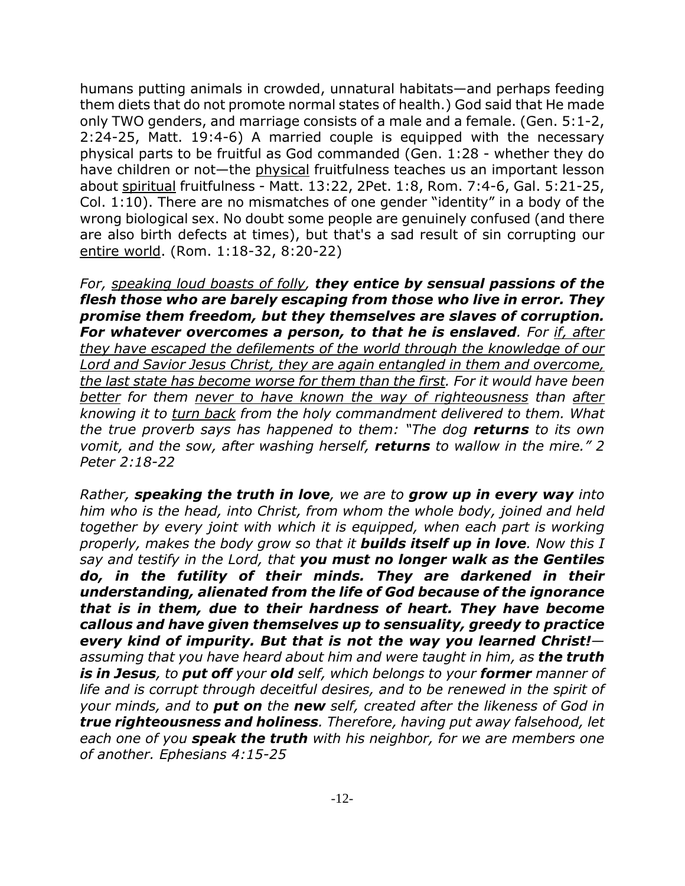humans putting animals in crowded, unnatural habitats—and perhaps feeding them diets that do not promote normal states of health.) God said that He made only TWO genders, and marriage consists of a male and a female. (Gen. 5:1-2, 2:24-25, Matt. 19:4-6) A married couple is equipped with the necessary physical parts to be fruitful as God commanded (Gen. 1:28 - whether they do have children or not—the physical fruitfulness teaches us an important lesson about spiritual fruitfulness - Matt. 13:22, 2Pet. 1:8, Rom. 7:4-6, Gal. 5:21-25, Col. 1:10). There are no mismatches of one gender "identity" in a body of the wrong biological sex. No doubt some people are genuinely confused (and there are also birth defects at times), but that's a sad result of sin corrupting our entire world. (Rom. 1:18-32, 8:20-22)

*For, speaking loud boasts of folly, they entice by sensual passions of the flesh those who are barely escaping from those who live in error. They promise them freedom, but they themselves are slaves of corruption. For whatever overcomes a person, to that he is enslaved. For if, after they have escaped the defilements of the world through the knowledge of our Lord and Savior Jesus Christ, they are again entangled in them and overcome, the last state has become worse for them than the first. For it would have been better for them never to have known the way of righteousness than after knowing it to turn back from the holy commandment delivered to them. What the true proverb says has happened to them: "The dog returns to its own vomit, and the sow, after washing herself, returns to wallow in the mire." 2 Peter 2:18-22*

*Rather, speaking the truth in love, we are to grow up in every way into him who is the head, into Christ, from whom the whole body, joined and held together by every joint with which it is equipped, when each part is working properly, makes the body grow so that it builds itself up in love. Now this I say and testify in the Lord, that you must no longer walk as the Gentiles do, in the futility of their minds. They are darkened in their understanding, alienated from the life of God because of the ignorance that is in them, due to their hardness of heart. They have become callous and have given themselves up to sensuality, greedy to practice every kind of impurity. But that is not the way you learned Christ! assuming that you have heard about him and were taught in him, as the truth is in Jesus, to put off your old self, which belongs to your former manner of life and is corrupt through deceitful desires, and to be renewed in the spirit of your minds, and to put on the new self, created after the likeness of God in true righteousness and holiness. Therefore, having put away falsehood, let each one of you speak the truth with his neighbor, for we are members one of another. Ephesians 4:15-25*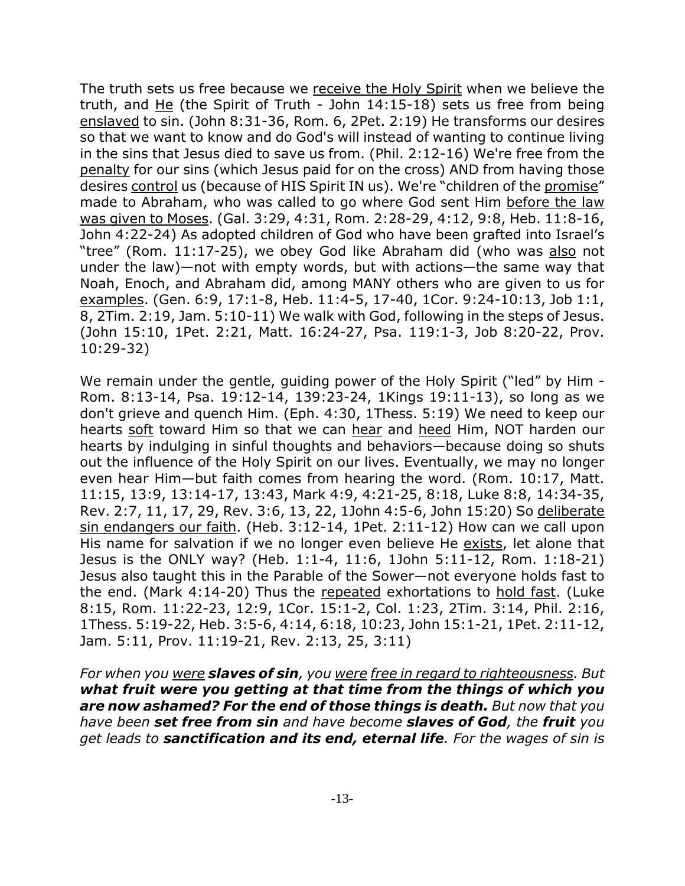The truth sets us free because we receive the Holy Spirit when we believe the truth, and He (the Spirit of Truth - John 14:15-18) sets us free from being enslaved to sin. (John 8:31-36, Rom. 6, 2Pet. 2:19) He transforms our desires so that we want to know and do God's will instead of wanting to continue living in the sins that Jesus died to save us from. (Phil. 2:12-16) We're free from the penalty for our sins (which Jesus paid for on the cross) AND from having those desires control us (because of HIS Spirit IN us). We're "children of the promise" made to Abraham, who was called to go where God sent Him before the law was given to Moses. (Gal. 3:29, 4:31, Rom. 2:28-29, 4:12, 9:8, Heb. 11:8-16, John 4:22-24) As adopted children of God who have been grafted into Israel's "tree" (Rom. 11:17-25), we obey God like Abraham did (who was also not under the law)—not with empty words, but with actions—the same way that Noah, Enoch, and Abraham did, among MANY others who are given to us for examples. (Gen. 6:9, 17:1-8, Heb. 11:4-5, 17-40, 1Cor. 9:24-10:13, Job 1:1, 8, 2Tim. 2:19, Jam. 5:10-11) We walk with God, following in the steps of Jesus. (John 15:10, 1Pet. 2:21, Matt. 16:24-27, Psa. 119:1-3, Job 8:20-22, Prov. 10:29-32)

We remain under the gentle, guiding power of the Holy Spirit ("led" by Him -Rom. 8:13-14, Psa. 19:12-14, 139:23-24, 1Kings 19:11-13), so long as we don't grieve and quench Him. (Eph. 4:30, 1Thess. 5:19) We need to keep our hearts soft toward Him so that we can hear and heed Him, NOT harden our hearts by indulging in sinful thoughts and behaviors—because doing so shuts out the influence of the Holy Spirit on our lives. Eventually, we may no longer even hear Him—but faith comes from hearing the word. (Rom. 10:17, Matt. 11:15, 13:9, 13:14-17, 13:43, Mark 4:9, 4:21-25, 8:18, Luke 8:8, 14:34-35, Rev. 2:7, 11, 17, 29, Rev. 3:6, 13, 22, 1John 4:5-6, John 15:20) So deliberate sin endangers our faith. (Heb. 3:12-14, 1Pet. 2:11-12) How can we call upon His name for salvation if we no longer even believe He exists, let alone that Jesus is the ONLY way? (Heb. 1:1-4, 11:6, 1John 5:11-12, Rom. 1:18-21) Jesus also taught this in the Parable of the Sower—not everyone holds fast to the end. (Mark 4:14-20) Thus the repeated exhortations to hold fast. (Luke 8:15, Rom. 11:22-23, 12:9, 1Cor. 15:1-2, Col. 1:23, 2Tim. 3:14, Phil. 2:16, 1Thess. 5:19-22, Heb. 3:5-6, 4:14, 6:18, 10:23, John 15:1-21, 1Pet. 2:11-12, Jam. 5:11, Prov. 11:19-21, Rev. 2:13, 25, 3:11)

*For when you were slaves of sin, you were free in regard to righteousness. But what fruit were you getting at that time from the things of which you are now ashamed? For the end of those things is death. But now that you have been set free from sin and have become slaves of God, the fruit you get leads to sanctification and its end, eternal life. For the wages of sin is*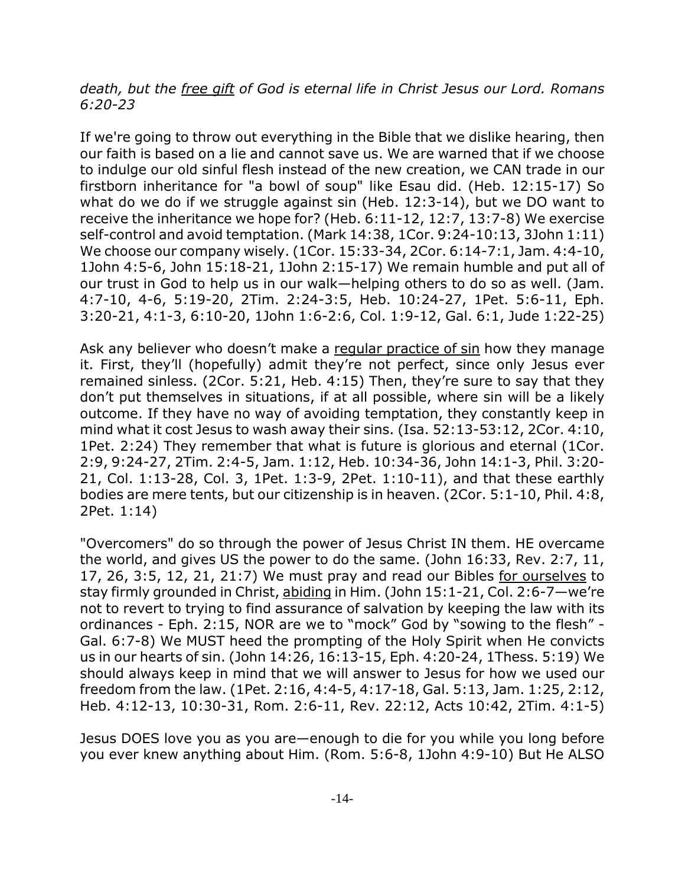## *death, but the free gift of God is eternal life in Christ Jesus our Lord. Romans 6:20-23*

If we're going to throw out everything in the Bible that we dislike hearing, then our faith is based on a lie and cannot save us. We are warned that if we choose to indulge our old sinful flesh instead of the new creation, we CAN trade in our firstborn inheritance for "a bowl of soup" like Esau did. (Heb. 12:15-17) So what do we do if we struggle against sin (Heb. 12:3-14), but we DO want to receive the inheritance we hope for? (Heb. 6:11-12, 12:7, 13:7-8) We exercise self-control and avoid temptation. (Mark 14:38, 1Cor. 9:24-10:13, 3John 1:11) We choose our company wisely. (1Cor. 15:33-34, 2Cor. 6:14-7:1, Jam. 4:4-10, 1John 4:5-6, John 15:18-21, 1John 2:15-17) We remain humble and put all of our trust in God to help us in our walk—helping others to do so as well. (Jam. 4:7-10, 4-6, 5:19-20, 2Tim. 2:24-3:5, Heb. 10:24-27, 1Pet. 5:6-11, Eph. 3:20-21, 4:1-3, 6:10-20, 1John 1:6-2:6, Col. 1:9-12, Gal. 6:1, Jude 1:22-25)

Ask any believer who doesn't make a regular practice of sin how they manage it. First, they'll (hopefully) admit they're not perfect, since only Jesus ever remained sinless. (2Cor. 5:21, Heb. 4:15) Then, they're sure to say that they don't put themselves in situations, if at all possible, where sin will be a likely outcome. If they have no way of avoiding temptation, they constantly keep in mind what it cost Jesus to wash away their sins. (Isa. 52:13-53:12, 2Cor. 4:10, 1Pet. 2:24) They remember that what is future is glorious and eternal (1Cor. 2:9, 9:24-27, 2Tim. 2:4-5, Jam. 1:12, Heb. 10:34-36, John 14:1-3, Phil. 3:20- 21, Col. 1:13-28, Col. 3, 1Pet. 1:3-9, 2Pet. 1:10-11), and that these earthly bodies are mere tents, but our citizenship is in heaven. (2Cor. 5:1-10, Phil. 4:8, 2Pet. 1:14)

"Overcomers" do so through the power of Jesus Christ IN them. HE overcame the world, and gives US the power to do the same. (John 16:33, Rev. 2:7, 11, 17, 26, 3:5, 12, 21, 21:7) We must pray and read our Bibles for ourselves to stay firmly grounded in Christ, abiding in Him. (John 15:1-21, Col. 2:6-7—we're not to revert to trying to find assurance of salvation by keeping the law with its ordinances - Eph. 2:15, NOR are we to "mock" God by "sowing to the flesh" - Gal. 6:7-8) We MUST heed the prompting of the Holy Spirit when He convicts us in our hearts of sin. (John 14:26, 16:13-15, Eph. 4:20-24, 1Thess. 5:19) We should always keep in mind that we will answer to Jesus for how we used our freedom from the law. (1Pet. 2:16, 4:4-5, 4:17-18, Gal. 5:13, Jam. 1:25, 2:12, Heb. 4:12-13, 10:30-31, Rom. 2:6-11, Rev. 22:12, Acts 10:42, 2Tim. 4:1-5)

Jesus DOES love you as you are—enough to die for you while you long before you ever knew anything about Him. (Rom. 5:6-8, 1John 4:9-10) But He ALSO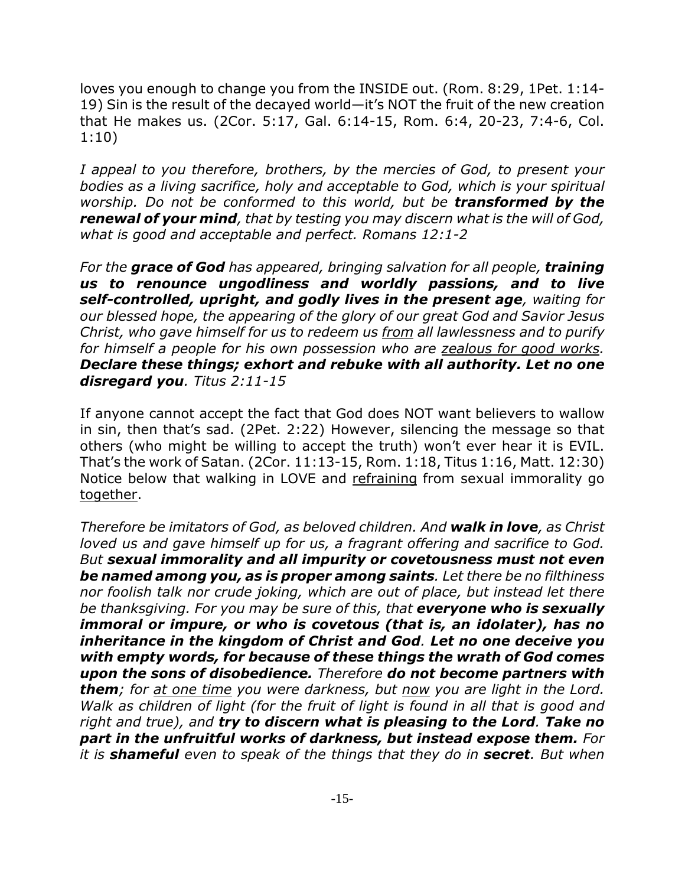loves you enough to change you from the INSIDE out. (Rom. 8:29, 1Pet. 1:14- 19) Sin is the result of the decayed world—it's NOT the fruit of the new creation that He makes us. (2Cor. 5:17, Gal. 6:14-15, Rom. 6:4, 20-23, 7:4-6, Col. 1:10)

*I appeal to you therefore, brothers, by the mercies of God, to present your bodies as a living sacrifice, holy and acceptable to God, which is your spiritual worship. Do not be conformed to this world, but be transformed by the renewal of your mind, that by testing you may discern what is the will of God, what is good and acceptable and perfect. Romans 12:1-2*

*For the grace of God has appeared, bringing salvation for all people, training us to renounce ungodliness and worldly passions, and to live self-controlled, upright, and godly lives in the present age, waiting for our blessed hope, the appearing of the glory of our great God and Savior Jesus Christ, who gave himself for us to redeem us from all lawlessness and to purify for himself a people for his own possession who are zealous for good works. Declare these things; exhort and rebuke with all authority. Let no one disregard you. Titus 2:11-15*

If anyone cannot accept the fact that God does NOT want believers to wallow in sin, then that's sad. (2Pet. 2:22) However, silencing the message so that others (who might be willing to accept the truth) won't ever hear it is EVIL. That's the work of Satan. (2Cor. 11:13-15, Rom. 1:18, Titus 1:16, Matt. 12:30) Notice below that walking in LOVE and refraining from sexual immorality go together.

*Therefore be imitators of God, as beloved children. And walk in love, as Christ loved us and gave himself up for us, a fragrant offering and sacrifice to God. But sexual immorality and all impurity or covetousness must not even be named among you, as is proper among saints. Let there be no filthiness nor foolish talk nor crude joking, which are out of place, but instead let there be thanksgiving. For you may be sure of this, that everyone who is sexually immoral or impure, or who is covetous (that is, an idolater), has no inheritance in the kingdom of Christ and God. Let no one deceive you with empty words, for because of these things the wrath of God comes upon the sons of disobedience. Therefore do not become partners with them; for at one time you were darkness, but now you are light in the Lord. Walk as children of light (for the fruit of light is found in all that is good and right and true), and try to discern what is pleasing to the Lord. Take no part in the unfruitful works of darkness, but instead expose them. For it is shameful even to speak of the things that they do in secret. But when*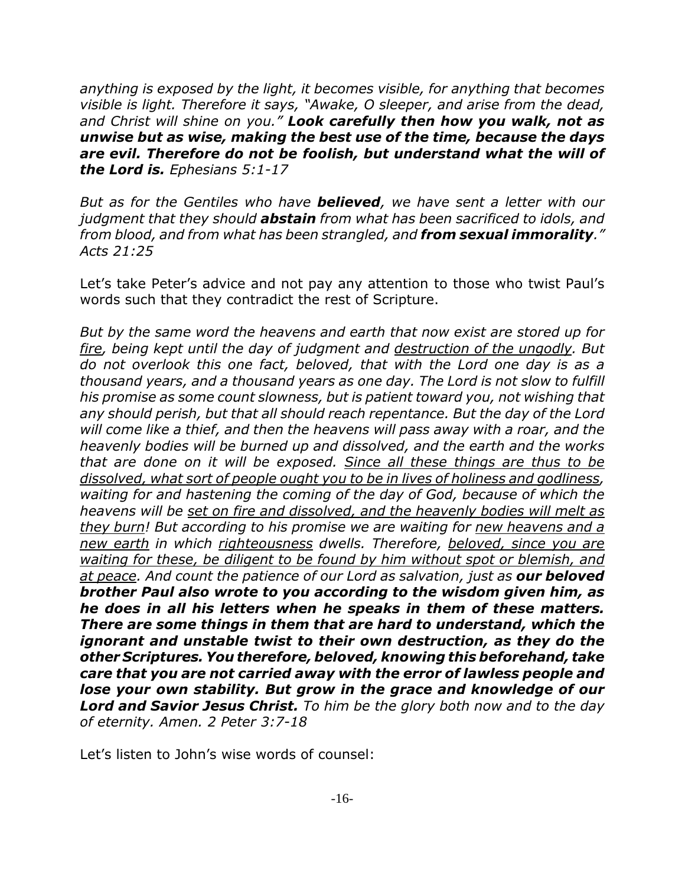*anything is exposed by the light, it becomes visible, for anything that becomes visible is light. Therefore it says, "Awake, O sleeper, and arise from the dead, and Christ will shine on you." Look carefully then how you walk, not as unwise but as wise, making the best use of the time, because the days are evil. Therefore do not be foolish, but understand what the will of the Lord is. Ephesians 5:1-17*

*But as for the Gentiles who have believed, we have sent a letter with our judgment that they should abstain from what has been sacrificed to idols, and from blood, and from what has been strangled, and from sexual immorality." Acts 21:25*

Let's take Peter's advice and not pay any attention to those who twist Paul's words such that they contradict the rest of Scripture.

*But by the same word the heavens and earth that now exist are stored up for fire, being kept until the day of judgment and destruction of the ungodly. But do not overlook this one fact, beloved, that with the Lord one day is as a thousand years, and a thousand years as one day. The Lord is not slow to fulfill his promise as some count slowness, but is patient toward you, not wishing that any should perish, but that all should reach repentance. But the day of the Lord will come like a thief, and then the heavens will pass away with a roar, and the heavenly bodies will be burned up and dissolved, and the earth and the works that are done on it will be exposed. Since all these things are thus to be dissolved, what sort of people ought you to be in lives of holiness and godliness, waiting for and hastening the coming of the day of God, because of which the heavens will be set on fire and dissolved, and the heavenly bodies will melt as they burn! But according to his promise we are waiting for new heavens and a new earth in which righteousness dwells. Therefore, beloved, since you are waiting for these, be diligent to be found by him without spot or blemish, and at peace. And count the patience of our Lord as salvation, just as our beloved brother Paul also wrote to you according to the wisdom given him, as he does in all his letters when he speaks in them of these matters. There are some things in them that are hard to understand, which the ignorant and unstable twist to their own destruction, as they do the other Scriptures. You therefore, beloved, knowing this beforehand, take care that you are not carried away with the error of lawless people and lose your own stability. But grow in the grace and knowledge of our Lord and Savior Jesus Christ. To him be the glory both now and to the day of eternity. Amen. 2 Peter 3:7-18*

Let's listen to John's wise words of counsel: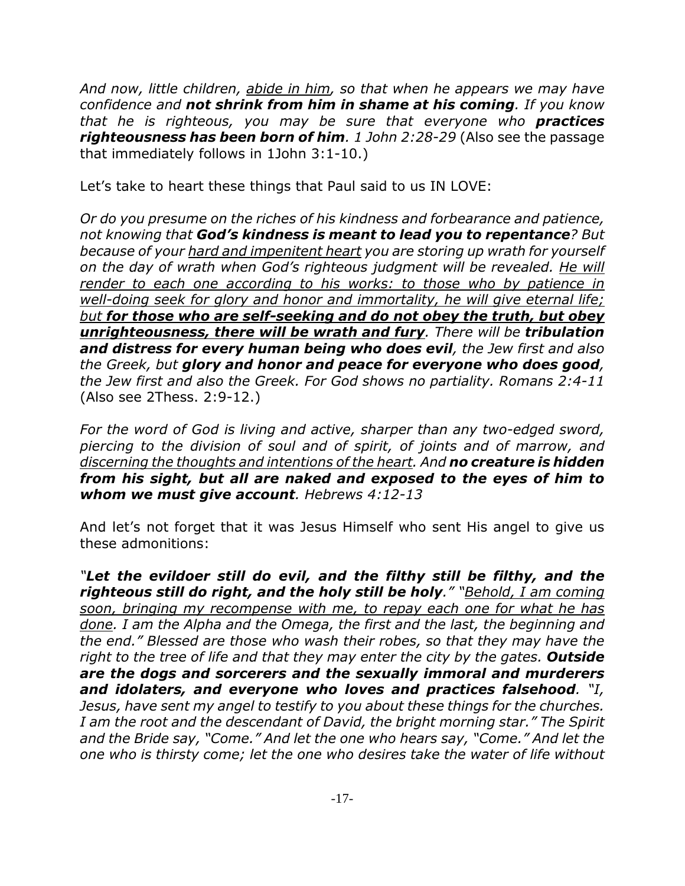*And now, little children, abide in him, so that when he appears we may have confidence and not shrink from him in shame at his coming. If you know that he is righteous, you may be sure that everyone who practices righteousness has been born of him. 1 John 2:28-29* (Also see the passage that immediately follows in 1John 3:1-10.)

Let's take to heart these things that Paul said to us IN LOVE:

*Or do you presume on the riches of his kindness and forbearance and patience, not knowing that God's kindness is meant to lead you to repentance? But because of your hard and impenitent heart you are storing up wrath for yourself on the day of wrath when God's righteous judgment will be revealed. He will render to each one according to his works: to those who by patience in well-doing seek for glory and honor and immortality, he will give eternal life; but for those who are self-seeking and do not obey the truth, but obey unrighteousness, there will be wrath and fury. There will be tribulation and distress for every human being who does evil, the Jew first and also the Greek, but glory and honor and peace for everyone who does good, the Jew first and also the Greek. For God shows no partiality. Romans 2:4-11* (Also see 2Thess. 2:9-12.)

*For the word of God is living and active, sharper than any two-edged sword, piercing to the division of soul and of spirit, of joints and of marrow, and discerning the thoughts and intentions of the heart. And no creature is hidden from his sight, but all are naked and exposed to the eyes of him to whom we must give account. Hebrews 4:12-13*

And let's not forget that it was Jesus Himself who sent His angel to give us these admonitions:

*"Let the evildoer still do evil, and the filthy still be filthy, and the righteous still do right, and the holy still be holy." "Behold, I am coming soon, bringing my recompense with me, to repay each one for what he has done. I am the Alpha and the Omega, the first and the last, the beginning and the end." Blessed are those who wash their robes, so that they may have the right to the tree of life and that they may enter the city by the gates. Outside are the dogs and sorcerers and the sexually immoral and murderers and idolaters, and everyone who loves and practices falsehood. "I, Jesus, have sent my angel to testify to you about these things for the churches. I am the root and the descendant of David, the bright morning star." The Spirit and the Bride say, "Come." And let the one who hears say, "Come." And let the one who is thirsty come; let the one who desires take the water of life without*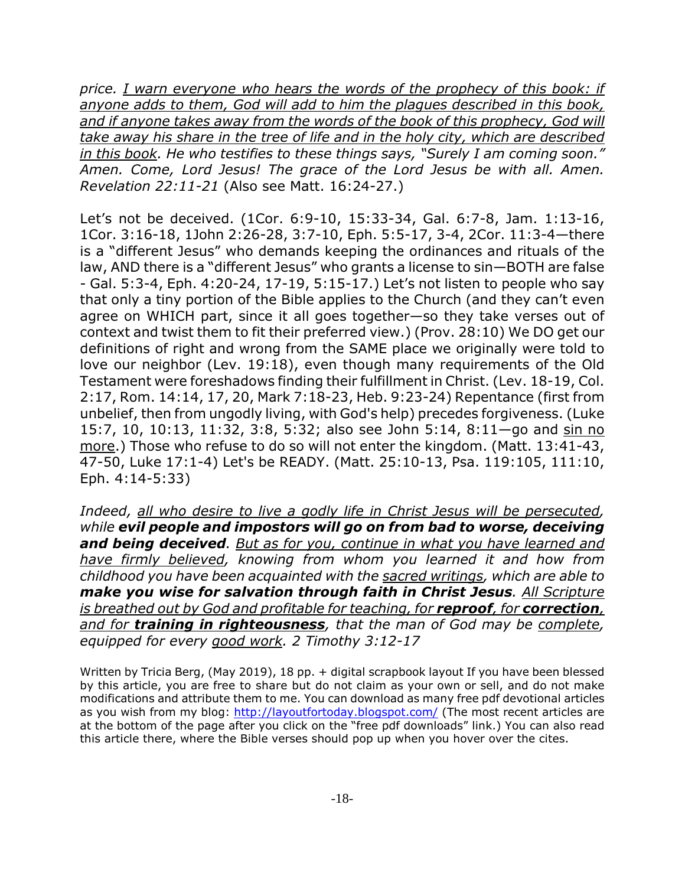*price. I warn everyone who hears the words of the prophecy of this book: if anyone adds to them, God will add to him the plagues described in this book,* and if anyone takes away from the words of the book of this prophecy, God will *take away his share in the tree of life and in the holy city, which are described in this book. He who testifies to these things says, "Surely I am coming soon." Amen. Come, Lord Jesus! The grace of the Lord Jesus be with all. Amen. Revelation 22:11-21* (Also see Matt. 16:24-27.)

Let's not be deceived. (1Cor. 6:9-10, 15:33-34, Gal. 6:7-8, Jam. 1:13-16, 1Cor. 3:16-18, 1John 2:26-28, 3:7-10, Eph. 5:5-17, 3-4, 2Cor. 11:3-4—there is a "different Jesus" who demands keeping the ordinances and rituals of the law, AND there is a "different Jesus" who grants a license to sin—BOTH are false - Gal. 5:3-4, Eph. 4:20-24, 17-19, 5:15-17.) Let's not listen to people who say that only a tiny portion of the Bible applies to the Church (and they can't even agree on WHICH part, since it all goes together—so they take verses out of context and twist them to fit their preferred view.) (Prov. 28:10) We DO get our definitions of right and wrong from the SAME place we originally were told to love our neighbor (Lev. 19:18), even though many requirements of the Old Testament were foreshadows finding their fulfillment in Christ. (Lev. 18-19, Col. 2:17, Rom. 14:14, 17, 20, Mark 7:18-23, Heb. 9:23-24) Repentance (first from unbelief, then from ungodly living, with God's help) precedes forgiveness. (Luke 15:7, 10, 10:13, 11:32, 3:8, 5:32; also see John 5:14, 8:11—go and sin no more.) Those who refuse to do so will not enter the kingdom. (Matt. 13:41-43, 47-50, Luke 17:1-4) Let's be READY. (Matt. 25:10-13, Psa. 119:105, 111:10, Eph. 4:14-5:33)

*Indeed, all who desire to live a godly life in Christ Jesus will be persecuted, while evil people and impostors will go on from bad to worse, deceiving and being deceived. But as for you, continue in what you have learned and have firmly believed, knowing from whom you learned it and how from childhood you have been acquainted with the sacred writings, which are able to make you wise for salvation through faith in Christ Jesus. All Scripture is breathed out by God and profitable for teaching, for reproof, for correction, and for training in righteousness, that the man of God may be complete, equipped for every good work. 2 Timothy 3:12-17*

Written by Tricia Berg, (May 2019), 18 pp. + digital scrapbook layout If you have been blessed by this article, you are free to share but do not claim as your own or sell, and do not make modifications and attribute them to me. You can download as many free pdf devotional articles as you wish from my blog: http://layoutfortoday.blogspot.com/ (The most recent articles are at the bottom of the page after you click on the "free pdf downloads" link.) You can also read this article there, where the Bible verses should pop up when you hover over the cites.